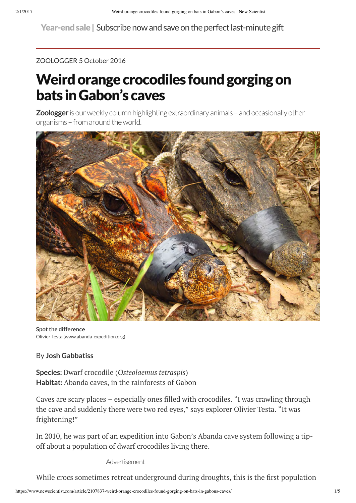Year-end sale | [Subscribe now and save on the perfect last-minute gift](http://subscription.newscientist.com/packages/holidayseason-gift.php?promCode=9230,9231&packageCodes=TPA&offerCode=Q&intcmp=NSNS|Subs|2016-xmas-Global-ticker-Q4)

[ZOOLOGGER](https://www.newscientist.com/article_type/zoologger/) 5 October 2016

# Weird orange crocodiles found gorging on bats in Gabon's caves

**[Zoologger](https://www.nsadmin.rbi.web.internal/article-type/zoologger/)** is our weekly column highlighting extraordinary animals – and occasionally other organisms – from around the world.



Olivier Testa (www.abanda-expedition.org) **Spot the difference**

## By **Josh Gabbatiss**

**Species:** Dwarf crocodile (*Osteolaemus tetraspis*) **Habitat:** Abanda caves, in the rainforests of Gabon

Caves are scary places – especially ones filled with crocodiles. "I was crawling through the cave and suddenly there were two red eyes," says explorer [Olivier Testa](http://www.olivier-testa.com/). "It was frightening!"

In 2010, he was part of an [expedition into Gabon's Abanda cave system](http://www.abanda-expedition.org/) following a tipoff about a population of dwarf crocodiles living there.

Advertisement

While crocs sometimes retreat underground during droughts, this is the first population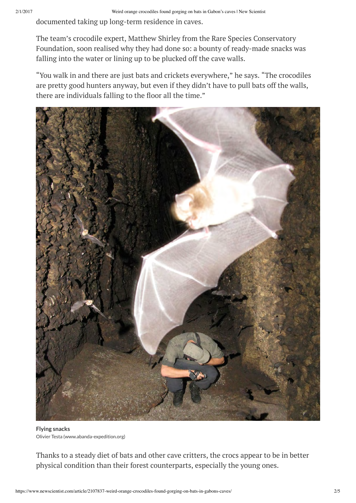documented taking up long-term residence in caves.

The team's crocodile expert, [Matthew Shirley](https://www.researchgate.net/profile/Matthew_Shirley2) from the Rare Species Conservatory Foundation, soon realised why they had done so: a bounty of ready-made snacks was falling into the water or lining up to be plucked off the cave walls.

"You walk in and there are just bats and crickets everywhere," he says. "The crocodiles are pretty good hunters anyway, but even if they didn't have to pull bats off the walls, there are individuals falling to the floor all the time."



Olivier Testa (www.abanda-expedition.org) **Flying snacks**

Thanks to a steady diet of bats and other cave critters, the crocs appear to be in better physical condition than their forest counterparts, especially the young ones.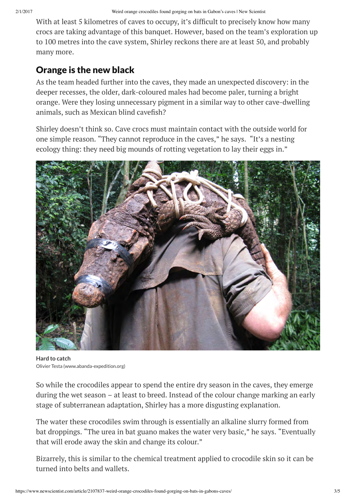With at least 5 kilometres of caves to occupy, it's difficult to precisely know how many crocs are taking advantage of this banquet. However, based on the team's exploration up to 100 metres into the cave system, Shirley reckons there are at least 50, and probably many more.

## Orange is the new black

As the team headed further into the caves, they made an unexpected discovery: in the deeper recesses, the older, dark-coloured males had become paler, turning a bright orange. Were they losing unnecessary pigment in a similar way to other cave-dwelling animals, such as Mexican blind cavefish?

Shirley doesn't think so. Cave crocs must maintain contact with the outside world for one simple reason. "They cannot reproduce in the caves," he says. "It's a nesting ecology thing: they need big mounds of rotting vegetation to lay their eggs in."



Olivier Testa (www.abanda-expedition.org) **Hard to catch**

So while the crocodiles appear to spend the entire dry season in the caves, they emerge during the wet season – at least to breed. Instead of the colour change marking an early stage of subterranean adaptation, Shirley has a more disgusting explanation.

The water these [crocodiles](https://www.newscientist.com/article/dn26505-groovy-teeth-helped-giant-crocs-crunch-turtle-shells/) swim through is essentially an alkaline slurry formed from bat droppings. "The urea in bat guano makes the water very basic," he says. "Eventually that will erode away the skin and change its colour."

Bizarrely, this is similar to the chemical treatment applied to crocodile skin so it can be turned into belts and wallets.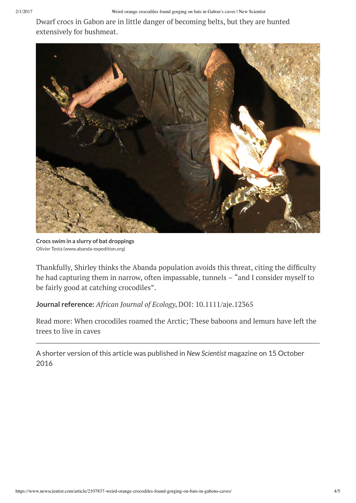Dwarf crocs in Gabon are in little danger of becoming belts, but they are hunted extensively for bushmeat.



Olivier Testa (www.abanda-expedition.org) **Crocs swim in a slurry of bat droppings**

Thankfully, Shirley thinks the Abanda population avoids this threat, citing the difficulty he had capturing them in narrow, often impassable, tunnels – "and I consider myself to be fairly good at catching crocodiles".

## **Journal reference:** *African Journal of Ecology***,** [DOI: 10.1111/aje.12365](http://onlinelibrary.wiley.com/doi/10.1111/aje.12365/full)

[Read more: W](https://www.newscientist.com/article/dn28771-these-baboons-and-lemurs-have-left-the-trees-to-live-in-caves/)[hen crocodiles roamed the Arctic](https://www.newscientist.com/article/mg19826611-200-when-crocodiles-roamed-the-arctic/)[; These baboons and lemurs have left the](https://www.newscientist.com/article/dn28771-these-baboons-and-lemurs-have-left-the-trees-to-live-in-caves/) trees to live in caves

[A shorter version of this article](https://www.newscientist.com/article/mg23230952-000-weird-orange-crocodiles-found-gorging-on-bats-in-gabons-caves/) was published in *New Scientist* magazine on 15 October 2016